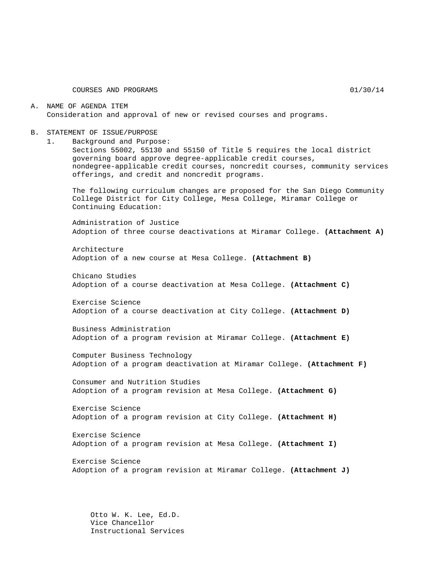COURSES AND PROGRAMS 01/30/14

A. NAME OF AGENDA ITEM Consideration and approval of new or revised courses and programs.

- B. STATEMENT OF ISSUE/PURPOSE
	- 1. Background and Purpose:

Sections 55002, 55130 and 55150 of Title 5 requires the local district governing board approve degree-applicable credit courses, nondegree-applicable credit courses, noncredit courses, community services offerings, and credit and noncredit programs.

The following curriculum changes are proposed for the San Diego Community College District for City College, Mesa College, Miramar College or Continuing Education:

Administration of Justice Adoption of three course deactivations at Miramar College. **(Attachment A)**

Architecture Adoption of a new course at Mesa College. **(Attachment B)**

Chicano Studies Adoption of a course deactivation at Mesa College. **(Attachment C)**

Exercise Science Adoption of a course deactivation at City College. **(Attachment D)**

Business Administration Adoption of a program revision at Miramar College. **(Attachment E)**

Computer Business Technology Adoption of a program deactivation at Miramar College. **(Attachment F)**

Consumer and Nutrition Studies Adoption of a program revision at Mesa College. **(Attachment G)**

Exercise Science Adoption of a program revision at City College. **(Attachment H)**

Exercise Science Adoption of a program revision at Mesa College. **(Attachment I)**

Exercise Science Adoption of a program revision at Miramar College. **(Attachment J)**

Otto W. K. Lee, Ed.D. Vice Chancellor Instructional Services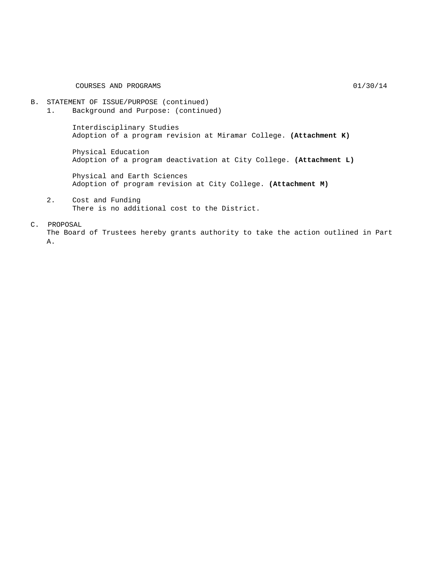#### COURSES AND PROGRAMS 01/30/14

#### B. STATEMENT OF ISSUE/PURPOSE (continued)

1. Background and Purpose: (continued)

Interdisciplinary Studies Adoption of a program revision at Miramar College. **(Attachment K)**

Physical Education Adoption of a program deactivation at City College. **(Attachment L)**

Physical and Earth Sciences Adoption of program revision at City College. **(Attachment M)**

2. Cost and Funding There is no additional cost to the District.

C. PROPOSAL

The Board of Trustees hereby grants authority to take the action outlined in Part A.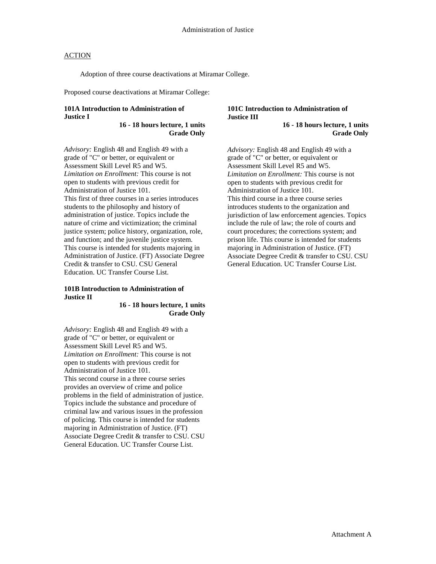Adoption of three course deactivations at Miramar College.

Proposed course deactivations at Miramar College:

#### **101A Introduction to Administration of Justice I**

**16 - 18 hours lecture, 1 units Grade Only**

*Advisory:* English 48 and English 49 with a grade of "C" or better, or equivalent or Assessment Skill Level R5 and W5. *Limitation on Enrollment:* This course is not open to students with previous credit for Administration of Justice 101. This first of three courses in a series introduces students to the philosophy and history of administration of justice. Topics include the nature of crime and victimization; the criminal justice system; police history, organization, role, and function; and the juvenile justice system. This course is intended for students majoring in Administration of Justice. (FT) Associate Degree Credit & transfer to CSU. CSU General Education. UC Transfer Course List.

#### **101B Introduction to Administration of Justice II**

**16 - 18 hours lecture, 1 units Grade Only**

*Advisory:* English 48 and English 49 with a grade of "C" or better, or equivalent or Assessment Skill Level R5 and W5. *Limitation on Enrollment:* This course is not open to students with previous credit for Administration of Justice 101. This second course in a three course series provides an overview of crime and police problems in the field of administration of justice. Topics include the substance and procedure of criminal law and various issues in the profession of policing. This course is intended for students majoring in Administration of Justice. (FT) Associate Degree Credit & transfer to CSU. CSU General Education. UC Transfer Course List.

### **101C Introduction to Administration of Justice III**

**16 - 18 hours lecture, 1 units Grade Only**

*Advisory:* English 48 and English 49 with a grade of "C" or better, or equivalent or Assessment Skill Level R5 and W5. *Limitation on Enrollment:* This course is not open to students with previous credit for Administration of Justice 101. This third course in a three course series introduces students to the organization and jurisdiction of law enforcement agencies. Topics include the rule of law; the role of courts and court procedures; the corrections system; and prison life. This course is intended for students majoring in Administration of Justice. (FT) Associate Degree Credit & transfer to CSU. CSU General Education. UC Transfer Course List.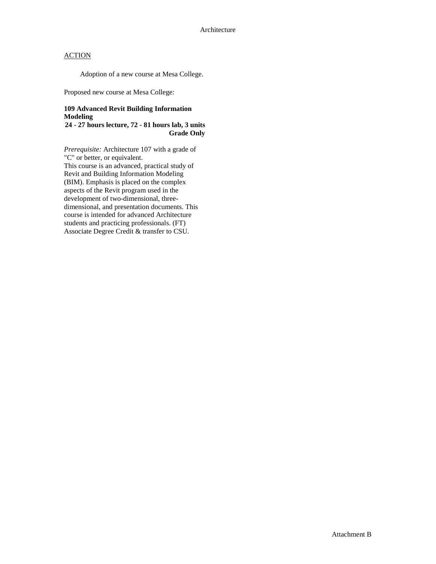Adoption of a new course at Mesa College.

Proposed new course at Mesa College:

#### **109 Advanced Revit Building Information Modeling**

**24 - 27 hours lecture, 72 - 81 hours lab, 3 units Grade Only**

*Prerequisite:* Architecture 107 with a grade of "C" or better, or equivalent. This course is an advanced, practical study of Revit and Building Information Modeling (BIM). Emphasis is placed on the complex aspects of the Revit program used in the development of two-dimensional, threedimensional, and presentation documents. This course is intended for advanced Architecture students and practicing professionals. (FT) Associate Degree Credit & transfer to CSU.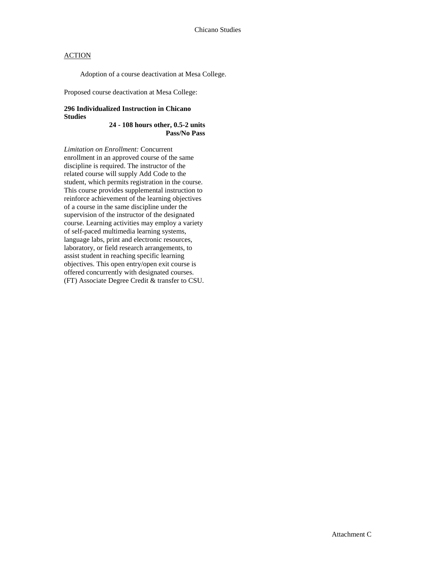Adoption of a course deactivation at Mesa College.

Proposed course deactivation at Mesa College:

### **296 Individualized Instruction in Chicano Studies**

**24 - 108 hours other, 0.5-2 units Pass/No Pass**

*Limitation on Enrollment:* Concurrent enrollment in an approved course of the same discipline is required. The instructor of the related course will supply Add Code to the student, which permits registration in the course. This course provides supplemental instruction to reinforce achievement of the learning objectives of a course in the same discipline under the supervision of the instructor of the designated course. Learning activities may employ a variety of self-paced multimedia learning systems, language labs, print and electronic resources, laboratory, or field research arrangements, to assist student in reaching specific learning objectives. This open entry/open exit course is offered concurrently with designated courses. (FT) Associate Degree Credit & transfer to CSU.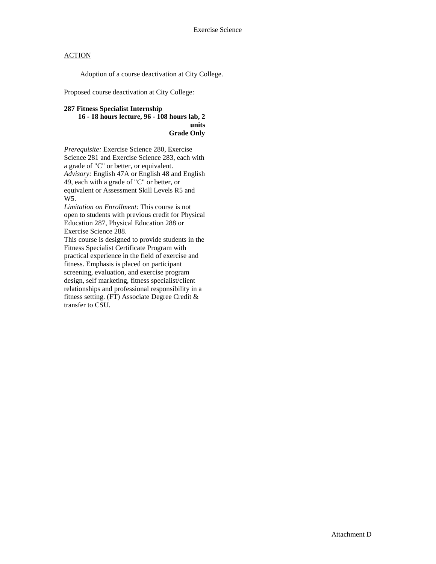Adoption of a course deactivation at City College.

Proposed course deactivation at City College:

### **287 Fitness Specialist Internship 16 - 18 hours lecture, 96 - 108 hours lab, 2 units Grade Only**

*Prerequisite:* Exercise Science 280, Exercise Science 281 and Exercise Science 283, each with a grade of "C" or better, or equivalent. *Advisory:* English 47A or English 48 and English 49, each with a grade of "C" or better, or equivalent or Assessment Skill Levels R5 and W5.

*Limitation on Enrollment:* This course is not open to students with previous credit for Physical Education 287, Physical Education 288 or Exercise Science 288.

This course is designed to provide students in the Fitness Specialist Certificate Program with practical experience in the field of exercise and fitness. Emphasis is placed on participant screening, evaluation, and exercise program design, self marketing, fitness specialist/client relationships and professional responsibility in a fitness setting. (FT) Associate Degree Credit & transfer to CSU.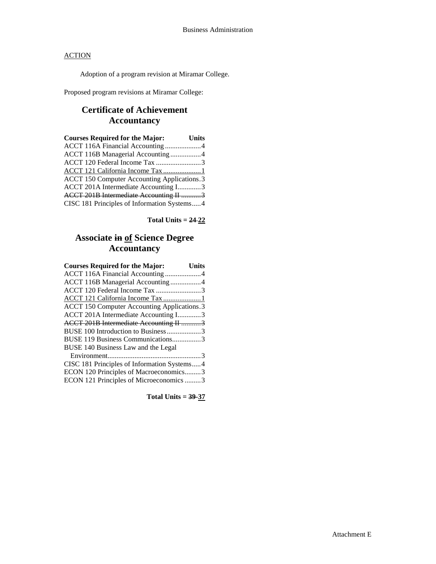Adoption of a program revision at Miramar College.

Proposed program revisions at Miramar College:

## **Certificate of Achievement Accountancy**

| <b>Courses Required for the Major:</b>      | <b>Units</b> |
|---------------------------------------------|--------------|
| ACCT 116A Financial Accounting4             |              |
| ACCT 116B Managerial Accounting4            |              |
| ACCT 120 Federal Income Tax 3               |              |
| ACCT 121 California Income Tax 1            |              |
| ACCT 150 Computer Accounting Applications.3 |              |
| ACCT 201A Intermediate Accounting I3        |              |
| ACCT 201B Intermediate Accounting II 3      |              |
| CISC 181 Principles of Information Systems4 |              |

**Total Units = 24 22**

## **Associate in of Science Degree Accountancy**

| <b>Courses Required for the Major:</b>      | <b>Units</b> |
|---------------------------------------------|--------------|
| ACCT 116A Financial Accounting 4            |              |
| ACCT 116B Managerial Accounting4            |              |
| ACCT 120 Federal Income Tax 3               |              |
| ACCT 121 California Income Tax 1            |              |
| ACCT 150 Computer Accounting Applications.3 |              |
| ACCT 201A Intermediate Accounting I3        |              |
| ACCT 201B Intermediate Accounting II 3      |              |
| BUSE 100 Introduction to Business3          |              |
| BUSE 119 Business Communications3           |              |
| BUSE 140 Business Law and the Legal         |              |
|                                             |              |
| CISC 181 Principles of Information Systems4 |              |
| ECON 120 Principles of Macroeconomics3      |              |
| ECON 121 Principles of Microeconomics 3     |              |
|                                             |              |

**Total Units = 39-37**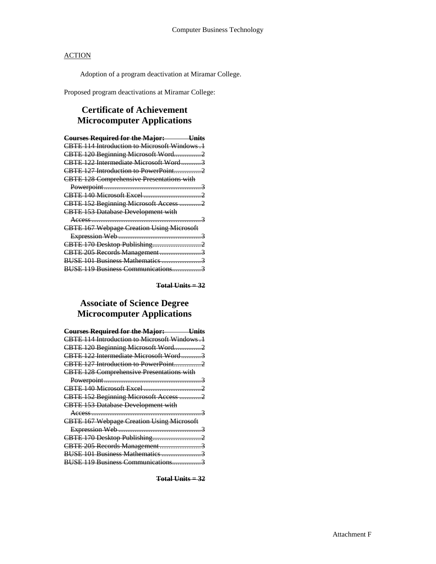Adoption of a program deactivation at Miramar College.

Proposed program deactivations at Miramar College:

## **Certificate of Achievement Microcomputer Applications**

| <b>Courses Required for the Major:</b> Units     |
|--------------------------------------------------|
| CBTE 114 Introduction to Microsoft Windows .1    |
| CBTE 120 Beginning Microsoft Word2               |
| CBTE 122 Intermediate Microsoft Word3            |
|                                                  |
| <b>CBTE 128 Comprehensive Presentations with</b> |
|                                                  |
|                                                  |
| CBTE 152 Beginning Microsoft Access 2            |
| <b>CBTE 153 Database Development with</b>        |
|                                                  |
| <b>CBTE 167 Webpage Creation Using Microsoft</b> |
|                                                  |
|                                                  |
| CBTE 205 Records Management3                     |
| BUSE 101 Business Mathematics 3                  |
| BUSE 119 Business Communications3                |

**Total Units = 32**

# **Associate of Science Degree Microcomputer Applications**

| <b>Courses Required for the Major: Units</b>     |  |
|--------------------------------------------------|--|
| CBTE 114 Introduction to Microsoft Windows.1     |  |
| CBTE 120 Beginning Microsoft Word2               |  |
| CBTE 122 Intermediate Microsoft Word3            |  |
|                                                  |  |
| <b>CBTE 128 Comprehensive Presentations with</b> |  |
|                                                  |  |
|                                                  |  |
| CBTE 152 Beginning Microsoft Access 2            |  |
| <b>CBTE 153 Database Development with</b>        |  |
|                                                  |  |
| <b>CBTE 167 Webpage Creation Using Microsoft</b> |  |
|                                                  |  |
|                                                  |  |
| CBTE 205 Records Management3                     |  |
| BUSE 101 Business Mathematics 3                  |  |
| BUSE 119 Business Communications3                |  |

**Total Units = 32**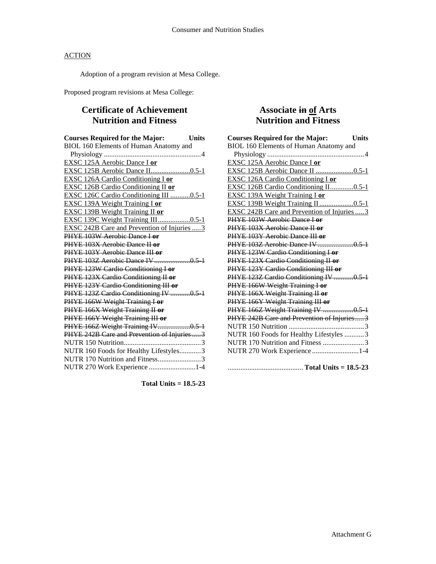Adoption of a program revision at Mesa College.

Proposed program revisions at Mesa College:

## **Certificate of Achievement Nutrition and Fitness**

| <b>Courses Required for the Major:</b>             | Units |
|----------------------------------------------------|-------|
| BIOL 160 Elements of Human Anatomy and             |       |
|                                                    |       |
| EXSC 125A Aerobic Dance I or                       |       |
| EXSC 125B Aerobic Dance II0.5-1                    |       |
| <b>EXSC 126A Cardio Conditioning I or</b>          |       |
| <b>EXSC 126B Cardio Conditioning II or</b>         |       |
| EXSC 126C Cardio Conditioning III 0.5-1            |       |
| <b>EXSC 139A Weight Training I or</b>              |       |
| <b>EXSC 139B Weight Training II or</b>             |       |
| EXSC 139C Weight Training III0.5-1                 |       |
| <b>EXSC 242B Care and Prevention of Injuries 3</b> |       |
| PHYE 103W Aerobic Dance Lor                        |       |
| PHYE 103X Aerobic Dance II or                      |       |
| PHYE 103Y Aerobic Dance III or                     |       |
|                                                    |       |
| PHYE 123W Cardio Conditioning I or                 |       |
| PHYE 123X Cardio Conditioning II or                |       |
| PHYE 123Y Cardio Conditioning III or               |       |
| PHYE 123Z Cardio Conditioning IV 0.5 1             |       |
| PHYE 166W Weight Training I or                     |       |
| PHYE 166X Weight Training II or                    |       |
| PHYE 166Y Weight Training III or                   |       |
| PHYE 166Z Weight Training IV0.5 1                  |       |
| PHYE 242B Care and Prevention of Injuries3         |       |
|                                                    |       |
| NUTR 160 Foods for Healthy Lifestyles3             |       |
| NUTR 170 Nutrition and Fitness3                    |       |
| NUTR 270 Work Experience 1-4                       |       |

**Total Units = 18.5-23**

## **Associate in of Arts Nutrition and Fitness**

| <b>Courses Required for the Major:</b><br><b>Units</b> |
|--------------------------------------------------------|
| BIOL 160 Elements of Human Anatomy and                 |
|                                                        |
| EXSC 125A Aerobic Dance I or                           |
| EXSC 125B Aerobic Dance II 0.5-1                       |
| EXSC 126A Cardio Conditioning I or                     |
| EXSC 126B Cardio Conditioning II0.5-1                  |
| <b>EXSC 139A Weight Training I or</b>                  |
| EXSC 139B Weight Training II 0.5-1                     |
| EXSC 242B Care and Prevention of Injuries  3           |
| PHYE 103W Aerobic Dance Lor                            |
| PHYE 103X Aerobic Dance II or                          |
| PHYE 103Y Aerobic Dance III or                         |
|                                                        |
| PHYE 123W Cardio Conditioning I or                     |
| PHYE 123X Cardio Conditioning II or                    |
| PHYE 123Y Cardio Conditioning III or                   |
| PHYE 123Z Cardio Conditioning IV 0.5-1                 |
| PHYE 166W Weight Training I or                         |
| PHYE 166X Weight Training II or                        |
| PHYE 166Y Weight Training III or                       |
| PHYE 166Z Weight Training IV 0.5 1                     |
| PHYE 242B Care and Prevention of Injuries3             |
|                                                        |
| NUTR 160 Foods for Healthy Lifestyles 3                |
| NUTR 170 Nutrition and Fitness 3                       |
| NUTR 270 Work Experience 1-4                           |
|                                                        |
|                                                        |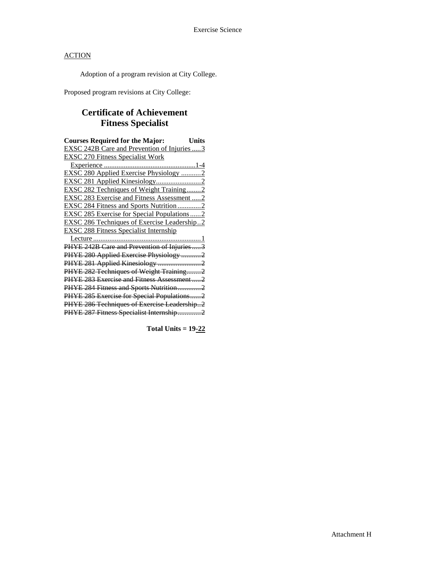Adoption of a program revision at City College.

Proposed program revisions at City College:

# **Certificate of Achievement Fitness Specialist**

| <b>Courses Required for the Major:</b><br>Units    |
|----------------------------------------------------|
| <b>EXSC 242B Care and Prevention of Injuries 3</b> |
| <b>EXSC 270 Fitness Specialist Work</b>            |
|                                                    |
| EXSC 280 Applied Exercise Physiology 2             |
|                                                    |
| <b>EXSC 282 Techniques of Weight Training2</b>     |
| EXSC 283 Exercise and Fitness Assessment 2         |
| <b>EXSC 284 Fitness and Sports Nutrition 2</b>     |
| <b>EXSC 285 Exercise for Special Populations2</b>  |
| <b>EXSC 286 Techniques of Exercise Leadership2</b> |
| <b>EXSC 288 Fitness Specialist Internship</b>      |
|                                                    |
| PHYE 242B Care and Prevention of Injuries3         |
| PHYE 280 Applied Exercise Physiology 2             |
|                                                    |
| PHYE 282 Techniques of Weight Training2            |
| PHYE 283 Exercise and Fitness Assessment2          |
| PHYE 284 Fitness and Sports Nutrition2             |
| PHYE 285 Exercise for Special Populations2         |
| PHYE 286 Techniques of Exercise Leadership2        |
| PHYE 287 Fitness Specialist Internship2            |

**Total Units = 19-22**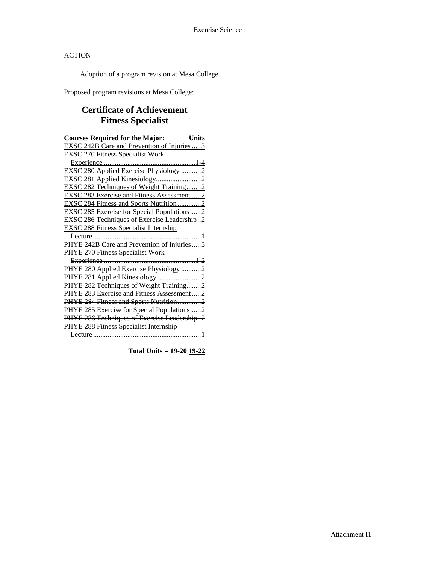Adoption of a program revision at Mesa College.

Proposed program revisions at Mesa College:

# **Certificate of Achievement Fitness Specialist**

| <b>Courses Required for the Major:</b><br><b>Units</b> |
|--------------------------------------------------------|
| <b>EXSC 242B Care and Prevention of Injuries  3</b>    |
| <b>EXSC 270 Fitness Specialist Work</b>                |
|                                                        |
| EXSC 280 Applied Exercise Physiology 2                 |
|                                                        |
| <b>EXSC 282 Techniques of Weight Training2</b>         |
| <b>EXSC 283 Exercise and Fitness Assessment  2</b>     |
| <b>EXSC 284 Fitness and Sports Nutrition2</b>          |
| <b>EXSC 285 Exercise for Special Populations2</b>      |
| <b>EXSC 286 Techniques of Exercise Leadership2</b>     |
| <b>EXSC 288 Fitness Specialist Internship</b>          |
|                                                        |
| PHYE 242B Care and Prevention of Injuries  3           |
| PHYE 270 Fitness Specialist Work                       |
|                                                        |
| PHYE 280 Applied Exercise Physiology 2                 |
| PHYE 281 Applied Kinesiology 2                         |
| PHYE 282 Techniques of Weight Training2                |
| PHYE 283 Exercise and Fitness Assessment2              |
| PHYE 284 Fitness and Sports Nutrition2                 |
| PHYE 285 Exercise for Special Populations2             |
| PHYE 286 Techniques of Exercise Leadership2            |
| PHYE 288 Fitness Specialist Internship                 |
|                                                        |

**Total Units = 19-20 19-22**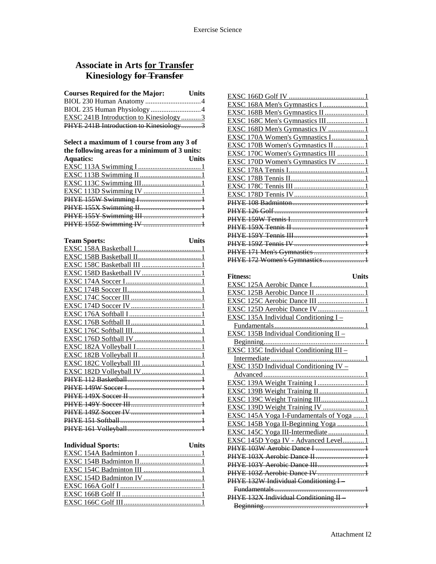### **Associate in Arts for Transfer Kinesiology for Transfer**

| <b>Courses Required for the Major:</b>        | <b>Units</b> |
|-----------------------------------------------|--------------|
|                                               |              |
|                                               |              |
| <b>EXSC 241B Introduction to Kinesiology3</b> |              |
| PHYE 241B Introduction to Kinesiology3        |              |

#### **Select a maximum of 1 course from any 3 of the following areas for a minimum of 3 units:**

| the following areas for a minimum of $\sigma$ units. |       |
|------------------------------------------------------|-------|
| <b>Aquatics:</b>                                     | Units |
|                                                      |       |
|                                                      |       |
|                                                      |       |
|                                                      |       |
|                                                      |       |
|                                                      |       |
|                                                      |       |
|                                                      |       |
|                                                      |       |

| <b>Team Sports:</b>                   | Units |
|---------------------------------------|-------|
| EXSC 158A Basketball I                |       |
|                                       |       |
|                                       |       |
|                                       |       |
|                                       |       |
|                                       |       |
|                                       |       |
|                                       |       |
|                                       |       |
|                                       |       |
|                                       |       |
|                                       |       |
| EXSC 182A Vollevball                  |       |
|                                       |       |
|                                       |       |
|                                       |       |
| <b>PHYE</b>                           |       |
| 49W Soccer L.                         |       |
|                                       |       |
| <u> HVE 149V Soccer III —————————</u> |       |
|                                       |       |
|                                       |       |
|                                       |       |
|                                       |       |

| <b>Individual Sports:</b> | <b>Units</b> |
|---------------------------|--------------|
|                           |              |
|                           |              |
|                           |              |
|                           |              |
|                           |              |
|                           |              |
|                           |              |

| EXSC 168D Men's Gymnastics IV 1                            |
|------------------------------------------------------------|
| EXSC 170A Women's Gymnastics I1                            |
| EXSC 170B Women's Gymnastics II1                           |
| EXSC 170C Women's Gymnastics III 1                         |
| EXSC 170D Women's Gymnastics IV 1                          |
|                                                            |
|                                                            |
|                                                            |
|                                                            |
|                                                            |
|                                                            |
|                                                            |
|                                                            |
|                                                            |
|                                                            |
| PHYE 171 Men's Gymnastics 1                                |
| PHYE 172 Women's Gymnastics1                               |
|                                                            |
| <b>Units</b><br><b>Fitness:</b>                            |
|                                                            |
|                                                            |
|                                                            |
|                                                            |
|                                                            |
|                                                            |
| EXSC 135B Individual Conditioning $II -$                   |
|                                                            |
|                                                            |
| EXSC 135C Individual Conditioning III -                    |
|                                                            |
| <b>EXSC</b> 135D Individual Conditioning $\overline{IV}$ – |
| <u></u> 1<br>Advanced                                      |
|                                                            |
|                                                            |
|                                                            |
|                                                            |
| EXSC 145A Yoga I-Fundamentals of Yoga 1                    |
| EXSC 145B Yoga II-Beginning Yoga 1                         |
| EXSC 145C Yoga III-Intermediate1                           |
| EXSC 145D Yoga IV - Advanced Level1                        |
| PHYE 103W Aerobic Dance I  1                               |
| PHYE 103X Aerobic Dance II  1                              |
| PHYE 103Y Aerobic Dance III1                               |
| PHYE 103Z Aerobic Dance IV 1                               |
| PHYE 132W Individual Conditioning I-                       |
|                                                            |
| PHYE 132X Individual Conditioning II-                      |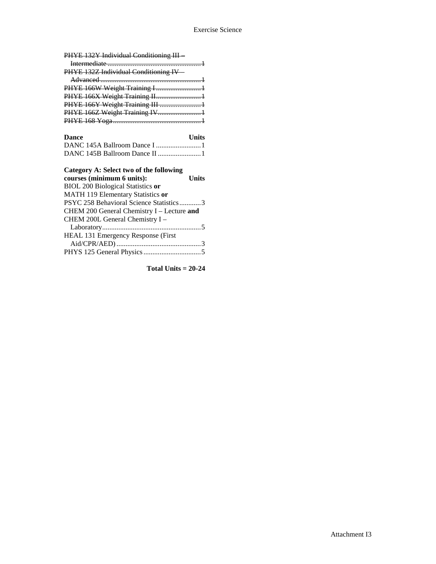PHYE 132Y Individual Conditioning III –

| PHYE 132Z Individual Conditioning IV |  |
|--------------------------------------|--|
|                                      |  |
| PHYE 166W Weight Training I1         |  |
| PHYE 166X Weight Training II1        |  |
| PHYE 166Y Weight Training III 1      |  |
| PHYE 166Z Weight Training IV1        |  |
|                                      |  |
|                                      |  |

# **Dance Units**

| Category A: Select two of the following    |              |
|--------------------------------------------|--------------|
| courses (minimum 6 units):                 | <b>Units</b> |
| <b>BIOL 200 Biological Statistics or</b>   |              |
| MATH 119 Elementary Statistics or          |              |
| PSYC 258 Behavioral Science Statistics3    |              |
| CHEM 200 General Chemistry I - Lecture and |              |
| CHEM 200L General Chemistry I -            |              |
|                                            |              |
| HEAL 131 Emergency Response (First         |              |
|                                            |              |
|                                            |              |

**Total Units = 20-24**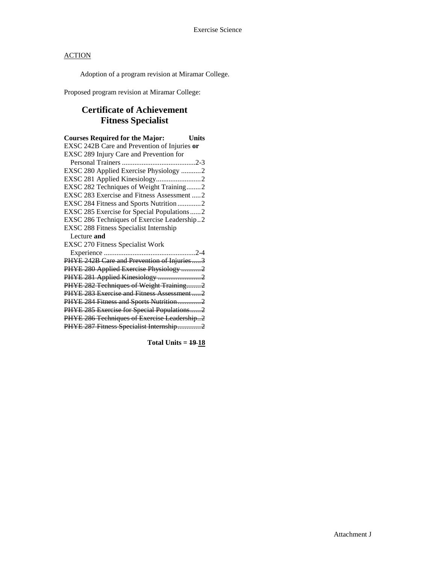Adoption of a program revision at Miramar College.

Proposed program revision at Miramar College:

# **Certificate of Achievement Fitness Specialist**

| <b>Courses Required for the Major:</b>        | <b>Units</b> |
|-----------------------------------------------|--------------|
| EXSC 242B Care and Prevention of Injuries or  |              |
| EXSC 289 Injury Care and Prevention for       |              |
|                                               |              |
| EXSC 280 Applied Exercise Physiology 2        |              |
|                                               |              |
| EXSC 282 Techniques of Weight Training2       |              |
| EXSC 283 Exercise and Fitness Assessment 2    |              |
| EXSC 284 Fitness and Sports Nutrition 2       |              |
| EXSC 285 Exercise for Special Populations 2   |              |
| EXSC 286 Techniques of Exercise Leadership2   |              |
| <b>EXSC 288 Fitness Specialist Internship</b> |              |
| Lecture and                                   |              |
| <b>EXSC 270 Fitness Specialist Work</b>       |              |
|                                               |              |
| PHYE 242B Care and Prevention of Injuries3    |              |
| PHYE 280 Applied Exercise Physiology 2        |              |
| PHYE 281 Applied Kinesiology 2                |              |
| PHYE 282 Techniques of Weight Training2       |              |
| PHYE 283 Exercise and Fitness Assessment2     |              |
| PHYE 284 Fitness and Sports Nutrition2        |              |
| PHYE 285 Exercise for Special Populations2    |              |
| PHYE 286 Techniques of Exercise Leadership2   |              |
| PHYE 287 Fitness Specialist Internship2       |              |

**Total Units = 19 18**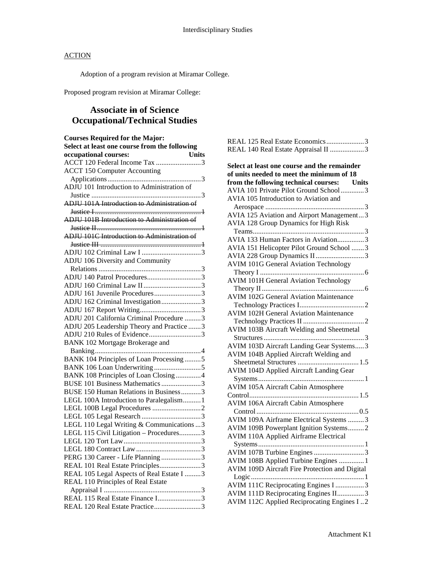Adoption of a program revision at Miramar College.

Proposed program revision at Miramar College:

# **Associate in of Science Occupational/Technical Studies**

| <b>Courses Required for the Major:</b><br>Select at least one course from the following |
|-----------------------------------------------------------------------------------------|
| <b>Units</b><br>occupational courses:                                                   |
|                                                                                         |
|                                                                                         |
|                                                                                         |
|                                                                                         |
| ADJU 101 Introduction to Administration of                                              |
| ADJU 101A Introduction to Administration of                                             |
|                                                                                         |
|                                                                                         |
| <b>ADJU 101B Introduction to Administration of</b>                                      |
| <b>ADJU 101C Introduction to Administration of</b>                                      |
|                                                                                         |
|                                                                                         |
|                                                                                         |
| ADJU 106 Diversity and Community                                                        |
|                                                                                         |
| ADJU 140 Patrol Procedures3                                                             |
|                                                                                         |
| ADJU 161 Juvenile Procedures3                                                           |
| ADJU 162 Criminal Investigation3                                                        |
|                                                                                         |
| ADJU 201 California Criminal Procedure 3                                                |
| ADJU 205 Leadership Theory and Practice 3                                               |
| ADJU 210 Rules of Evidence3                                                             |
| <b>BANK 102 Mortgage Brokerage and</b>                                                  |
|                                                                                         |
| BANK 104 Principles of Loan Processing5                                                 |
|                                                                                         |
| BANK 108 Principles of Loan Closing4                                                    |
| BUSE 101 Business Mathematics 3                                                         |
| BUSE 150 Human Relations in Business3                                                   |
| LEGL 100A Introduction to Paralegalism 1                                                |
|                                                                                         |
|                                                                                         |
| LEGL 110 Legal Writing & Communications  3                                              |
| LEGL 115 Civil Litigation - Procedures3                                                 |
|                                                                                         |
|                                                                                         |
| PERG 130 Career - Life Planning 3                                                       |
| REAL 101 Real Estate Principles3                                                        |
| REAL 105 Legal Aspects of Real Estate I 3                                               |
| REAL 110 Principles of Real Estate                                                      |
|                                                                                         |
| REAL 115 Real Estate Finance I3                                                         |
| REAL 120 Real Estate Practice3                                                          |

| REAL 125 Real Estate Economics3                |
|------------------------------------------------|
| REAL 140 Real Estate Appraisal II 3            |
|                                                |
| Select at least one course and the remainder   |
| of units needed to meet the minimum of 18      |
| from the following technical courses: Units    |
| AVIA 101 Private Pilot Ground School3          |
| AVIA 105 Introduction to Aviation and          |
|                                                |
| AVIA 125 Aviation and Airport Management3      |
| <b>AVIA 128 Group Dynamics for High Risk</b>   |
|                                                |
| AVIA 133 Human Factors in Aviation3            |
| AVIA 151 Helicopter Pilot Ground School 3      |
| AVIA 228 Group Dynamics II 3                   |
| <b>AVIM 101G General Aviation Technology</b>   |
|                                                |
| <b>AVIM 101H General Aviation Technology</b>   |
|                                                |
| <b>AVIM 102G General Aviation Maintenance</b>  |
|                                                |
| <b>AVIM 102H General Aviation Maintenance</b>  |
|                                                |
| AVIM 103B Aircraft Welding and Sheetmetal      |
|                                                |
| AVIM 103D Aircraft Landing Gear Systems3       |
| AVIM 104B Applied Aircraft Welding and         |
|                                                |
| AVIM 104D Applied Aircraft Landing Gear        |
|                                                |
| <b>AVIM 105A Aircraft Cabin Atmosphere</b>     |
|                                                |
| <b>AVIM 106A Aircraft Cabin Atmosphere</b>     |
|                                                |
| AVIM 109A Airframe Electrical Systems 3        |
| AVIM 109B Powerplant Ignition Systems2         |
| <b>AVIM 110A Applied Airframe Electrical</b>   |
| AVIM 107B Turbine Engines 3                    |
| AVIM 108B Applied Turbine Engines  1           |
| AVIM 109D Aircraft Fire Protection and Digital |
|                                                |
| AVIM 111C Reciprocating Engines I 3            |
| AVIM 111D Reciprocating Engines II3            |
| AVIM 112C Applied Reciprocating Engines I2     |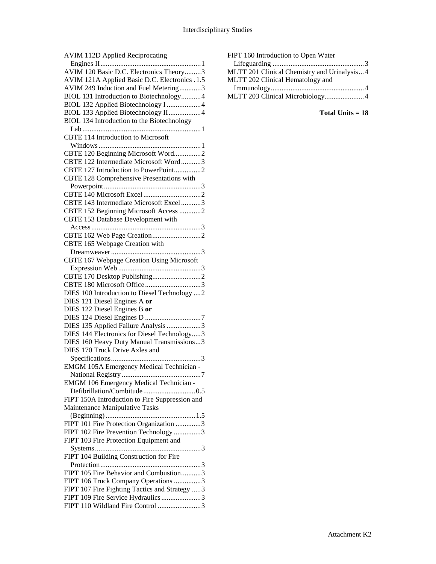| <b>AVIM 112D Applied Reciprocating</b>          |
|-------------------------------------------------|
|                                                 |
| AVIM 120 Basic D.C. Electronics Theory3         |
| AVIM 121A Applied Basic D.C. Electronics .1.5   |
| AVIM 249 Induction and Fuel Metering3           |
| BIOL 131 Introduction to Biotechnology4         |
| BIOL 132 Applied Biotechnology I 4              |
| BIOL 133 Applied Biotechnology II4              |
| BIOL 134 Introduction to the Biotechnology      |
|                                                 |
| <b>CBTE 114 Introduction to Microsoft</b>       |
|                                                 |
| CBTE 120 Beginning Microsoft Word2              |
| CBTE 122 Intermediate Microsoft Word3           |
| CBTE 127 Introduction to PowerPoint2            |
| CBTE 128 Comprehensive Presentations with       |
|                                                 |
|                                                 |
| CBTE 143 Intermediate Microsoft Excel 3         |
| CBTE 152 Beginning Microsoft Access 2           |
| CBTE 153 Database Development with              |
|                                                 |
|                                                 |
| CBTE 165 Webpage Creation with                  |
|                                                 |
| CBTE 167 Webpage Creation Using Microsoft       |
|                                                 |
|                                                 |
| DIES 100 Introduction to Diesel Technology  2   |
| DIES 121 Diesel Engines A or                    |
| DIES 122 Diesel Engines B or                    |
|                                                 |
| DIES 135 Applied Failure Analysis 3             |
| DIES 144 Electronics for Diesel Technology3     |
| DIES 160 Heavy Duty Manual Transmissions3       |
| DIES 170 Truck Drive Axles and                  |
|                                                 |
| <b>EMGM 105A Emergency Medical Technician -</b> |
|                                                 |
| <b>EMGM 106 Emergency Medical Technician -</b>  |
|                                                 |
| FIPT 150A Introduction to Fire Suppression and  |
| Maintenance Manipulative Tasks                  |
|                                                 |
| FIPT 101 Fire Protection Organization 3         |
| FIPT 102 Fire Prevention Technology 3           |
| FIPT 103 Fire Protection Equipment and          |
|                                                 |
| FIPT 104 Building Construction for Fire         |
|                                                 |
| FIPT 105 Fire Behavior and Combustion3          |
| FIPT 106 Truck Company Operations 3             |
| FIPT 107 Fire Fighting Tactics and Strategy 3   |
| FIPT 109 Fire Service Hydraulics 3              |
| FIPT 110 Wildland Fire Control 3                |

| FIPT 160 Introduction to Open Water         |
|---------------------------------------------|
|                                             |
| MLTT 201 Clinical Chemistry and Urinalysis4 |
| MLTT 202 Clinical Hematology and            |
|                                             |
| MLTT 203 Clinical Microbiology4             |

**Total Units = 18**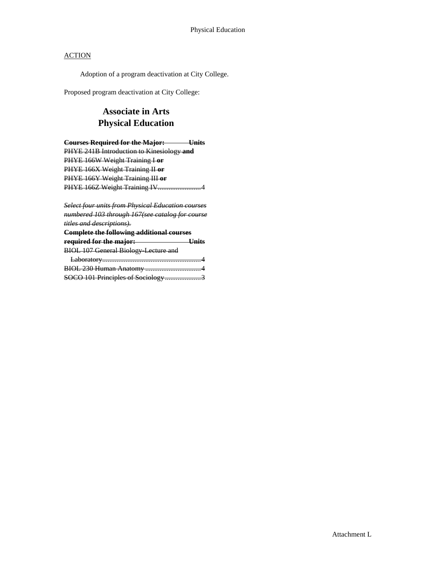Adoption of a program deactivation at City College.

Proposed program deactivation at City College:

## **Associate in Arts Physical Education**

**Courses Required for the Major: Units** PHYE 241B Introduction to Kinesiology **and** PHYE 166W Weight Training I **or** PHYE 166X Weight Training II **or** PHYE 166Y Weight Training III **or** PHYE 166Z Weight Training IV.............................4

*Select four units from Physical Education courses numbered 103 through 167(see catalog for course titles and descriptions).*

| <b>Complete the following additional courses</b> |  |
|--------------------------------------------------|--|
| required for the major:                          |  |
| <b>BIOL 107 General Biology-Lecture and</b>      |  |
|                                                  |  |
|                                                  |  |
| SOCO 101 Principles of Sociology                 |  |